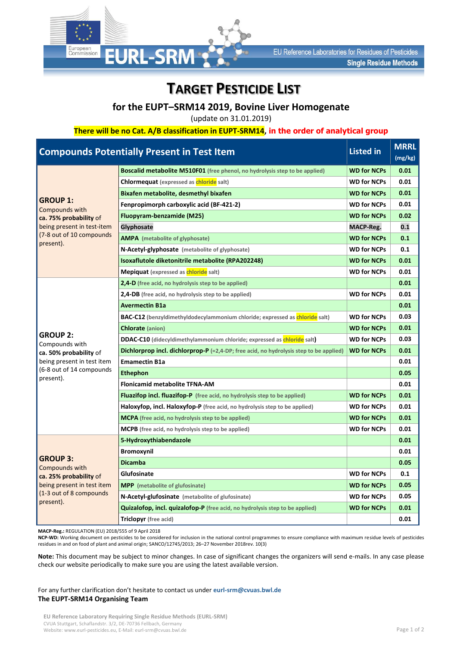

## **TARGET PESTICIDE LIST**

## **for the EUPT–SRM14 2019, Bovine Liver Homogenate**

(update on 31.01.2019)

**There will be no Cat. A/B classification in EUPT-SRM14, in the order of analytical group**

| <b>Compounds Potentially Present in Test Item</b>                                                                                         |                                                                                               |                    | <b>MRRL</b> |
|-------------------------------------------------------------------------------------------------------------------------------------------|-----------------------------------------------------------------------------------------------|--------------------|-------------|
|                                                                                                                                           |                                                                                               | <b>Listed in</b>   | (mg/kg)     |
| <b>GROUP 1:</b><br>Compounds with<br>ca. 75% probability of<br>being present in test-item<br>(7-8 out of 10 compounds<br>present).        | <b>Boscalid metabolite M510F01</b> (free phenol, no hydrolysis step to be applied)            | <b>WD for NCPs</b> | 0.01        |
|                                                                                                                                           | <b>Chlormequat</b> (expressed as <b>chloride</b> salt)                                        | <b>WD for NCPs</b> | 0.01        |
|                                                                                                                                           | Bixafen metabolite, desmethyl bixafen                                                         | <b>WD for NCPs</b> | 0.01        |
|                                                                                                                                           | Fenpropimorph carboxylic acid (BF-421-2)                                                      | <b>WD for NCPs</b> | 0.01        |
|                                                                                                                                           | Fluopyram-benzamide (M25)                                                                     | <b>WD for NCPs</b> | 0.02        |
|                                                                                                                                           | Glyphosate                                                                                    | MACP-Reg.          | 0.1         |
|                                                                                                                                           | <b>AMPA</b> (metabolite of glyphosate)                                                        | <b>WD for NCPs</b> | 0.1         |
|                                                                                                                                           | N-Acetyl-glyphosate (metabolite of glyphosate)                                                | <b>WD for NCPs</b> | 0.1         |
|                                                                                                                                           | Isoxaflutole diketonitrile metabolite (RPA202248)                                             | <b>WD for NCPs</b> | 0.01        |
|                                                                                                                                           | <b>Mepiquat</b> (expressed as <b>chloride</b> salt)                                           | <b>WD for NCPs</b> | 0.01        |
| <b>GROUP 2:</b><br>Compounds with<br>ca. 50% probability of<br>being present in test item<br>(6-8 out of 14 compounds)<br>present).       | 2,4-D (free acid, no hydrolysis step to be applied)                                           |                    | 0.01        |
|                                                                                                                                           | <b>2,4-DB</b> (free acid, no hydrolysis step to be applied)                                   | <b>WD for NCPs</b> | 0.01        |
|                                                                                                                                           | <b>Avermectin B1a</b>                                                                         |                    | 0.01        |
|                                                                                                                                           | <b>BAC-C12</b> (benzyldimethyldodecylammonium chloride; expressed as chloride salt)           | <b>WD for NCPs</b> | 0.03        |
|                                                                                                                                           | <b>Chlorate</b> (anion)                                                                       | <b>WD for NCPs</b> | 0.01        |
|                                                                                                                                           | <b>DDAC-C10</b> (didecyldimethylammonium chloride; expressed as chloride salt)                | <b>WD for NCPs</b> | 0.03        |
|                                                                                                                                           | <b>Dichlorprop incl. dichlorprop-P</b> (=2,4-DP; free acid, no hydrolysis step to be applied) | <b>WD for NCPs</b> | 0.01        |
|                                                                                                                                           | <b>Emamectin B1a</b>                                                                          |                    | 0.01        |
|                                                                                                                                           | <b>Ethephon</b>                                                                               |                    | 0.05        |
|                                                                                                                                           | <b>Flonicamid metabolite TFNA-AM</b>                                                          |                    | 0.01        |
|                                                                                                                                           | <b>Fluazifop incl. fluazifop-P</b> (free acid, no hydrolysis step to be applied)              | <b>WD for NCPs</b> | 0.01        |
|                                                                                                                                           | <b>Haloxyfop, incl. Haloxyfop-P</b> (free acid, no hydrolysis step to be applied)             | <b>WD for NCPs</b> | 0.01        |
|                                                                                                                                           | <b>MCPA</b> (free acid, no hydrolysis step to be applied)                                     | <b>WD for NCPs</b> | 0.01        |
|                                                                                                                                           | <b>MCPB</b> (free acid, no hydrolysis step to be applied)                                     | <b>WD for NCPs</b> | 0.01        |
| <b>GROUP 3:</b><br><b>Compounds with</b><br>ca. 25% probability of<br>being present in test item<br>(1-3 out of 8 compounds)<br>present). | 5-Hydroxythiabendazole                                                                        |                    | 0.01        |
|                                                                                                                                           | <b>Bromoxynil</b>                                                                             |                    | 0.01        |
|                                                                                                                                           | <b>Dicamba</b>                                                                                |                    | 0.05        |
|                                                                                                                                           | Glufosinate                                                                                   | <b>WD for NCPs</b> | 0.1         |
|                                                                                                                                           | <b>MPP</b> (metabolite of glufosinate)                                                        | <b>WD for NCPs</b> | 0.05        |
|                                                                                                                                           | N-Acetyl-glufosinate (metabolite of glufosinate)                                              | <b>WD for NCPs</b> | 0.05        |
|                                                                                                                                           | <b>Quizalofop, incl. quizalofop-P</b> (free acid, no hydrolysis step to be applied)           | <b>WD for NCPs</b> | 0.01        |
|                                                                                                                                           | Triclopyr (free acid)                                                                         |                    | 0.01        |

**MACP-Reg.:** REGULATION (EU) 2018/555 of 9 April 2018

**NCP-WD:** Working document on pesticides to be considered for inclusion in the national control programmes to ensure compliance with maximum residue levels of pesticides residues in and on food of plant and animal origin; SANCO/12745/2013; 26–27 November 2018rev. 10(3)

**Note:** This document may be subject to minor changes. In case of significant changes the organizers will send e-mails. In any case please check our website periodically to make sure you are using the latest available version.

For any further clarification don't hesitate to contact us under **[eurl-srm@cvuas.bwl.de](mailto:eurl-srm@cvuas.bwl.de) The EUPT-SRM14 Organising Team**